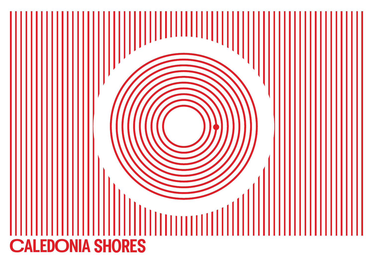# I  $11111$ **CALEDONIA SHORES**